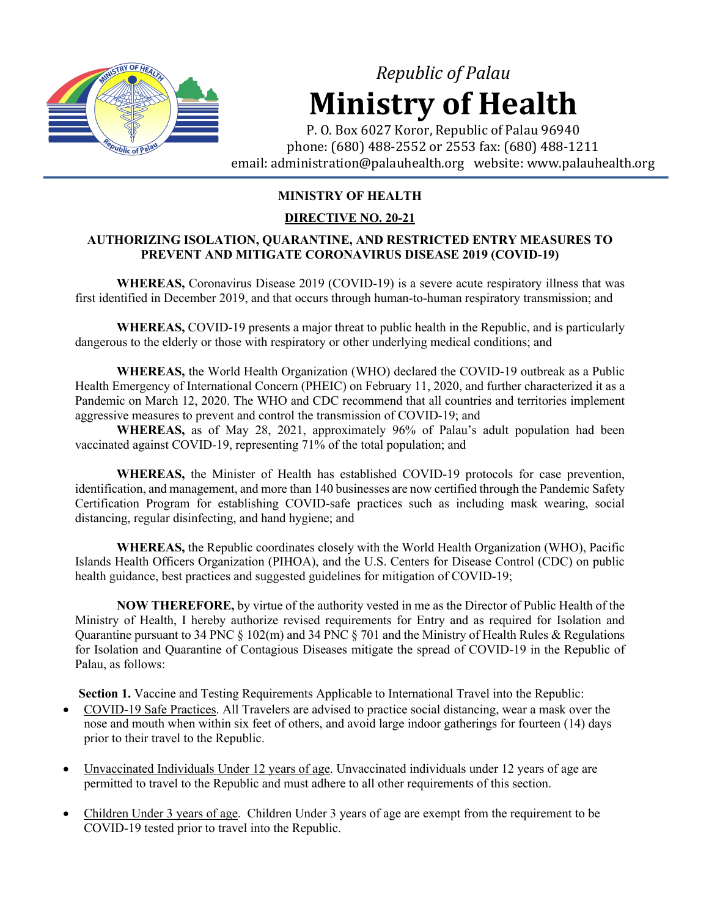

# *Republic of Palau* **Ministry of Health**

P. O. Box 6027 Koror, Republic of Palau 96940 phone: (680) 488-2552 or 2553 fax: (680) 488-1211 email: administration@palauhealth.org website: www.palauhealth.org

# **MINISTRY OF HEALTH**

# **DIRECTIVE NO. 20-21**

## **AUTHORIZING ISOLATION, QUARANTINE, AND RESTRICTED ENTRY MEASURES TO PREVENT AND MITIGATE CORONAVIRUS DISEASE 2019 (COVID-19)**

**WHEREAS,** Coronavirus Disease 2019 (COVID-19) is a severe acute respiratory illness that was first identified in December 2019, and that occurs through human-to-human respiratory transmission; and

**WHEREAS,** COVID-19 presents a major threat to public health in the Republic, and is particularly dangerous to the elderly or those with respiratory or other underlying medical conditions; and

**WHEREAS,** the World Health Organization (WHO) declared the COVID-19 outbreak as a Public Health Emergency of International Concern (PHEIC) on February 11, 2020, and further characterized it as a Pandemic on March 12, 2020. The WHO and CDC recommend that all countries and territories implement aggressive measures to prevent and control the transmission of COVID-19; and

**WHEREAS,** as of May 28, 2021, approximately 96% of Palau's adult population had been vaccinated against COVID-19, representing 71% of the total population; and

**WHEREAS,** the Minister of Health has established COVID-19 protocols for case prevention, identification, and management, and more than 140 businesses are now certified through the Pandemic Safety Certification Program for establishing COVID-safe practices such as including mask wearing, social distancing, regular disinfecting, and hand hygiene; and

**WHEREAS,** the Republic coordinates closely with the World Health Organization (WHO), Pacific Islands Health Officers Organization (PIHOA), and the U.S. Centers for Disease Control (CDC) on public health guidance, best practices and suggested guidelines for mitigation of COVID-19;

**NOW THEREFORE,** by virtue of the authority vested in me as the Director of Public Health of the Ministry of Health, I hereby authorize revised requirements for Entry and as required for Isolation and Quarantine pursuant to 34 PNC § 102(m) and 34 PNC § 701 and the Ministry of Health Rules & Regulations for Isolation and Quarantine of Contagious Diseases mitigate the spread of COVID-19 in the Republic of Palau, as follows:

**Section 1.** Vaccine and Testing Requirements Applicable to International Travel into the Republic:

- COVID-19 Safe Practices. All Travelers are advised to practice social distancing, wear a mask over the nose and mouth when within six feet of others, and avoid large indoor gatherings for fourteen (14) days prior to their travel to the Republic.
- Unvaccinated Individuals Under 12 years of age. Unvaccinated individuals under 12 years of age are permitted to travel to the Republic and must adhere to all other requirements of this section.
- Children Under 3 years of age. Children Under 3 years of age are exempt from the requirement to be COVID-19 tested prior to travel into the Republic.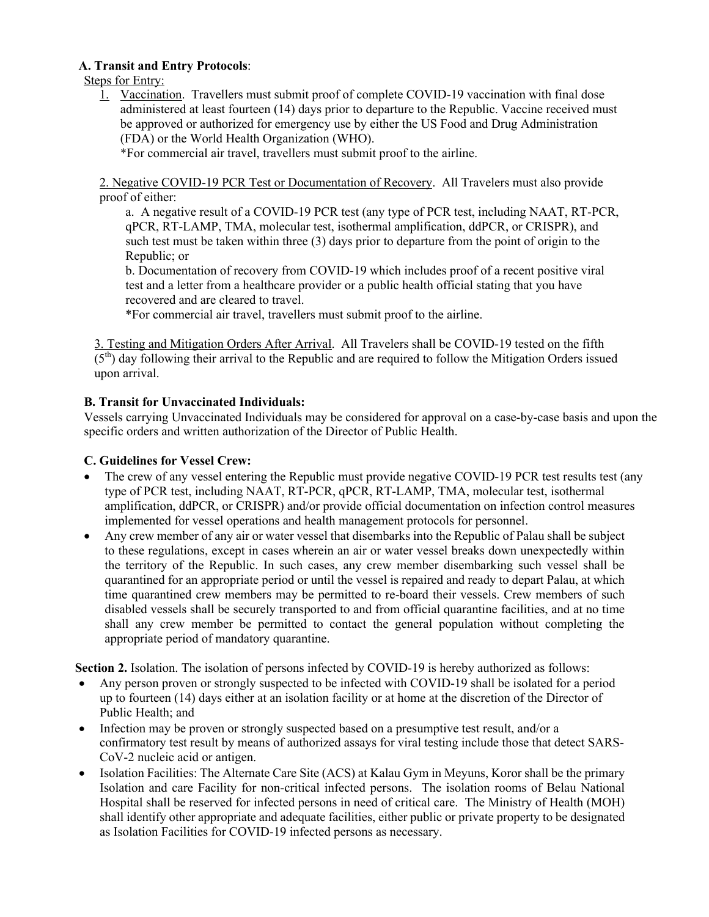## **A. Transit and Entry Protocols**:

Steps for Entry:

1. Vaccination. Travellers must submit proof of complete COVID-19 vaccination with final dose administered at least fourteen (14) days prior to departure to the Republic. Vaccine received must be approved or authorized for emergency use by either the US Food and Drug Administration (FDA) or the World Health Organization (WHO).

\*For commercial air travel, travellers must submit proof to the airline.

2. Negative COVID-19 PCR Test or Documentation of Recovery. All Travelers must also provide proof of either:

a. A negative result of a COVID-19 PCR test (any type of PCR test, including NAAT, RT-PCR, qPCR, RT-LAMP, TMA, molecular test, isothermal amplification, ddPCR, or CRISPR), and such test must be taken within three (3) days prior to departure from the point of origin to the Republic; or

b. Documentation of recovery from COVID-19 which includes proof of a recent positive viral test and a letter from a healthcare provider or a public health official stating that you have recovered and are cleared to travel.

\*For commercial air travel, travellers must submit proof to the airline.

3. Testing and Mitigation Orders After Arrival. All Travelers shall be COVID-19 tested on the fifth  $(5<sup>th</sup>)$  day following their arrival to the Republic and are required to follow the Mitigation Orders issued upon arrival.

### **B. Transit for Unvaccinated Individuals:**

Vessels carrying Unvaccinated Individuals may be considered for approval on a case-by-case basis and upon the specific orders and written authorization of the Director of Public Health.

#### **C. Guidelines for Vessel Crew:**

- The crew of any vessel entering the Republic must provide negative COVID-19 PCR test results test (any type of PCR test, including NAAT, RT-PCR, qPCR, RT-LAMP, TMA, molecular test, isothermal amplification, ddPCR, or CRISPR) and/or provide official documentation on infection control measures implemented for vessel operations and health management protocols for personnel.
- Any crew member of any air or water vessel that disembarks into the Republic of Palau shall be subject to these regulations, except in cases wherein an air or water vessel breaks down unexpectedly within the territory of the Republic. In such cases, any crew member disembarking such vessel shall be quarantined for an appropriate period or until the vessel is repaired and ready to depart Palau, at which time quarantined crew members may be permitted to re-board their vessels. Crew members of such disabled vessels shall be securely transported to and from official quarantine facilities, and at no time shall any crew member be permitted to contact the general population without completing the appropriate period of mandatory quarantine.

**Section 2.** Isolation. The isolation of persons infected by COVID-19 is hereby authorized as follows:

- Any person proven or strongly suspected to be infected with COVID-19 shall be isolated for a period up to fourteen (14) days either at an isolation facility or at home at the discretion of the Director of Public Health; and
- Infection may be proven or strongly suspected based on a presumptive test result, and/or a confirmatory test result by means of authorized assays for viral testing include those that detect SARS-CoV-2 nucleic acid or antigen.
- Isolation Facilities: The Alternate Care Site (ACS) at Kalau Gym in Meyuns, Koror shall be the primary Isolation and care Facility for non-critical infected persons. The isolation rooms of Belau National Hospital shall be reserved for infected persons in need of critical care. The Ministry of Health (MOH) shall identify other appropriate and adequate facilities, either public or private property to be designated as Isolation Facilities for COVID-19 infected persons as necessary.